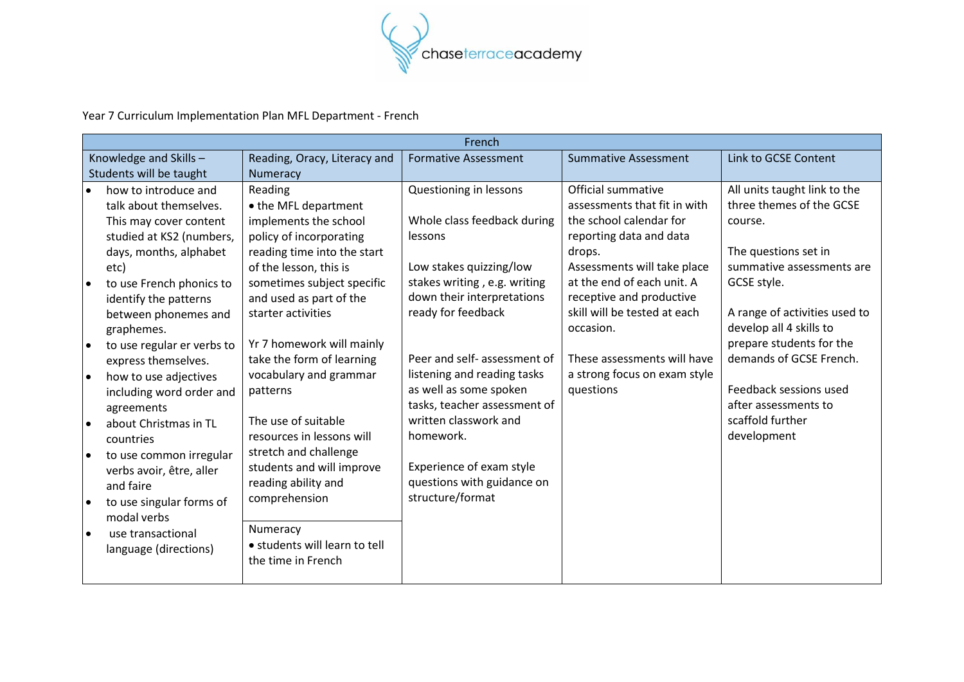

Year 7 Curriculum Implementation Plan MFL Department - French

| French    |                            |                               |                              |                              |                               |
|-----------|----------------------------|-------------------------------|------------------------------|------------------------------|-------------------------------|
|           | Knowledge and Skills-      | Reading, Oracy, Literacy and  | <b>Formative Assessment</b>  | <b>Summative Assessment</b>  | Link to GCSE Content          |
|           | Students will be taught    | Numeracy                      |                              |                              |                               |
| $\bullet$ | how to introduce and       | Reading                       | Questioning in lessons       | Official summative           | All units taught link to the  |
|           | talk about themselves.     | • the MFL department          |                              | assessments that fit in with | three themes of the GCSE      |
|           | This may cover content     | implements the school         | Whole class feedback during  | the school calendar for      | course.                       |
|           | studied at KS2 (numbers,   | policy of incorporating       | lessons                      | reporting data and data      |                               |
|           | days, months, alphabet     | reading time into the start   |                              | drops.                       | The questions set in          |
|           | etc)                       | of the lesson, this is        | Low stakes quizzing/low      | Assessments will take place  | summative assessments are     |
|           | to use French phonics to   | sometimes subject specific    | stakes writing, e.g. writing | at the end of each unit. A   | GCSE style.                   |
|           | identify the patterns      | and used as part of the       | down their interpretations   | receptive and productive     |                               |
|           | between phonemes and       | starter activities            | ready for feedback           | skill will be tested at each | A range of activities used to |
|           | graphemes.                 |                               |                              | occasion.                    | develop all 4 skills to       |
| $\bullet$ | to use regular er verbs to | Yr 7 homework will mainly     |                              |                              | prepare students for the      |
|           | express themselves.        | take the form of learning     | Peer and self- assessment of | These assessments will have  | demands of GCSE French.       |
| $\bullet$ | how to use adjectives      | vocabulary and grammar        | listening and reading tasks  | a strong focus on exam style |                               |
|           | including word order and   | patterns                      | as well as some spoken       | questions                    | Feedback sessions used        |
|           | agreements                 |                               | tasks, teacher assessment of |                              | after assessments to          |
| $\bullet$ | about Christmas in TL      | The use of suitable           | written classwork and        |                              | scaffold further              |
|           | countries                  | resources in lessons will     | homework.                    |                              | development                   |
| $\bullet$ | to use common irregular    | stretch and challenge         |                              |                              |                               |
|           | verbs avoir, être, aller   | students and will improve     | Experience of exam style     |                              |                               |
|           | and faire                  | reading ability and           | questions with guidance on   |                              |                               |
| ∣●        | to use singular forms of   | comprehension                 | structure/format             |                              |                               |
|           | modal verbs                |                               |                              |                              |                               |
| $\bullet$ | use transactional          | Numeracy                      |                              |                              |                               |
|           | language (directions)      | · students will learn to tell |                              |                              |                               |
|           |                            | the time in French            |                              |                              |                               |
|           |                            |                               |                              |                              |                               |